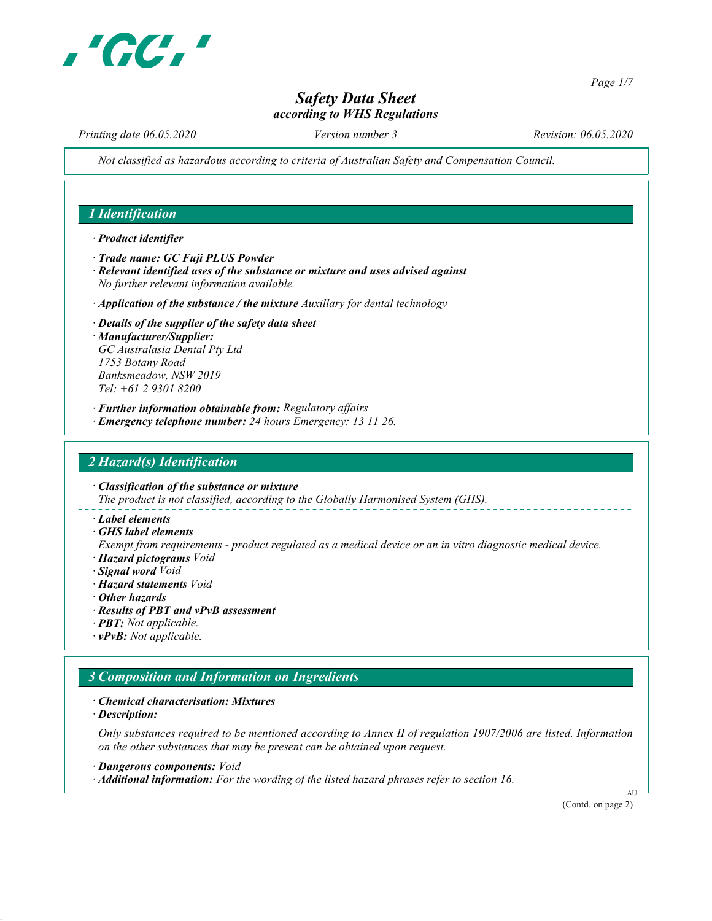

Printing date 06.05.2020 Version number 3 Revision: 06.05.2020

Not classified as hazardous according to criteria of Australian Safety and Compensation Council.

# 1 Identification · Product identifier · Trade name: GC Fuji PLUS Powder · Relevant identified uses of the substance or mixture and uses advised against No further relevant information available.  $\cdot$  Application of the substance / the mixture Auxillary for dental technology · Details of the supplier of the safety data sheet · Manufacturer/Supplier: GC Australasia Dental Pty Ltd 1753 Botany Road Banksmeadow, NSW 2019 Tel: +61 2 9301 8200 · Further information obtainable from: Regulatory affairs · Emergency telephone number: 24 hours Emergency: 13 11 26. 2 Hazard(s) Identification · Classification of the substance or mixture The product is not classified, according to the Globally Harmonised System (GHS). · Label elements · GHS label elements Exempt from requirements - product regulated as a medical device or an in vitro diagnostic medical device. · Hazard pictograms Void · Signal word Void · Hazard statements Void · Other hazards · Results of PBT and vPvB assessment · PBT: Not applicable. · vPvB: Not applicable. 3 Composition and Information on Ingredients · Chemical characterisation: Mixtures

· Description:

Only substances required to be mentioned according to Annex II of regulation 1907/2006 are listed. Information on the other substances that may be present can be obtained upon request.

· Dangerous components: Void

· Additional information: For the wording of the listed hazard phrases refer to section 16.

(Contd. on page 2)

AU

Page 1/7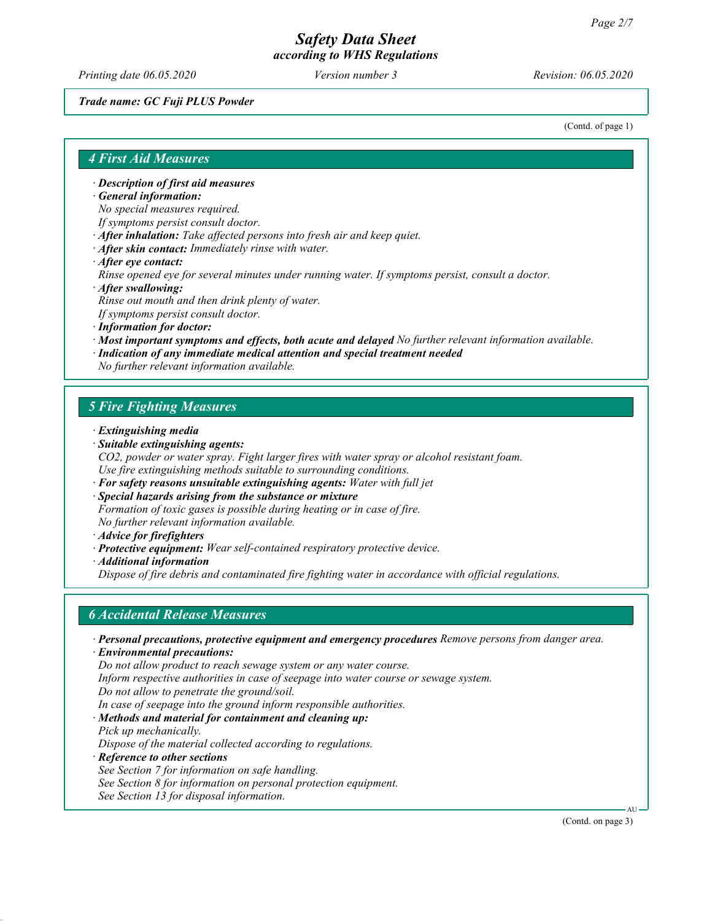Printing date 06.05.2020 Version number 3 Revision: 06.05.2020

Trade name: GC Fuji PLUS Powder

(Contd. of page 1)

#### 4 First Aid Measures

· Description of first aid measures

· General information:

No special measures required.

- If symptoms persist consult doctor.
- · After inhalation: Take affected persons into fresh air and keep quiet.
- · After skin contact: Immediately rinse with water.
- · After eye contact:

Rinse opened eye for several minutes under running water. If symptoms persist, consult a doctor.

- · After swallowing: Rinse out mouth and then drink plenty of water. If symptoms persist consult doctor.
- · Information for doctor:
- · Most important symptoms and effects, both acute and delayed No further relevant information available.
- · Indication of any immediate medical attention and special treatment needed

No further relevant information available.

### 5 Fire Fighting Measures

- · Extinguishing media
- · Suitable extinguishing agents:
- CO2, powder or water spray. Fight larger fires with water spray or alcohol resistant foam. Use fire extinguishing methods suitable to surrounding conditions.
- · For safety reasons unsuitable extinguishing agents: Water with full jet
- · Special hazards arising from the substance or mixture Formation of toxic gases is possible during heating or in case of fire. No further relevant information available.
- · Advice for firefighters
- · Protective equipment: Wear self-contained respiratory protective device.
- · Additional information

Dispose of fire debris and contaminated fire fighting water in accordance with official regulations.

#### 6 Accidental Release Measures

- · Personal precautions, protective equipment and emergency procedures Remove persons from danger area.
- · Environmental precautions:

Do not allow product to reach sewage system or any water course.

Inform respective authorities in case of seepage into water course or sewage system.

Do not allow to penetrate the ground/soil.

In case of seepage into the ground inform responsible authorities.

· Methods and material for containment and cleaning up: Pick up mechanically.

Dispose of the material collected according to regulations.

- · Reference to other sections
- See Section 7 for information on safe handling.
- See Section 8 for information on personal protection equipment.
- See Section 13 for disposal information.

(Contd. on page 3)

AU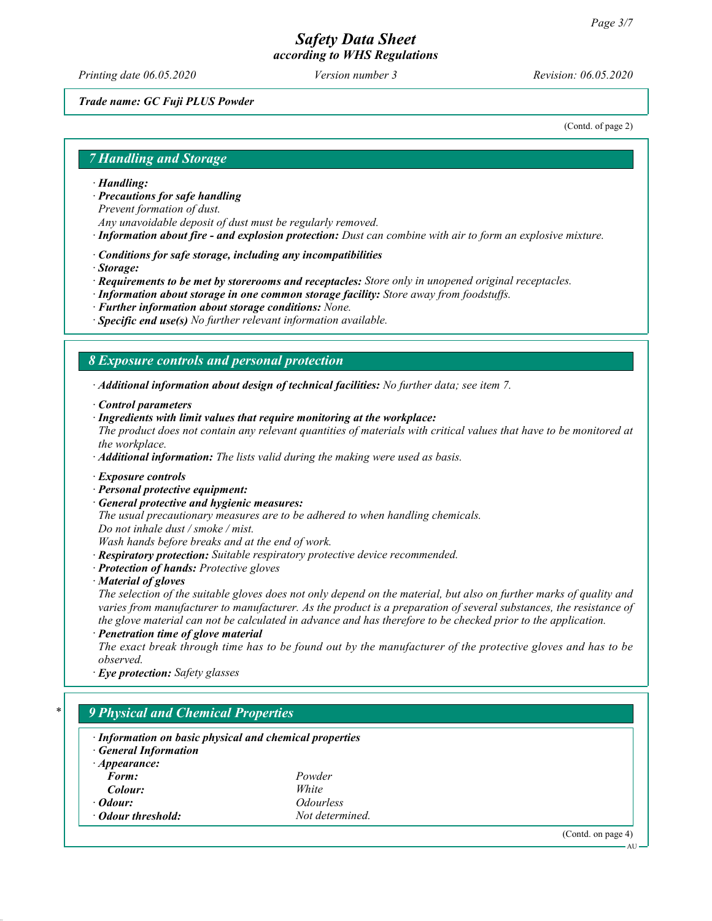Printing date 06.05.2020 Version number 3 Revision: 06.05.2020

#### Trade name: GC Fuji PLUS Powder

(Contd. of page 2)

### 7 Handling and Storage

#### · Handling:

· Precautions for safe handling

Prevent formation of dust.

- Any unavoidable deposit of dust must be regularly removed.
- · Information about fire and explosion protection: Dust can combine with air to form an explosive mixture.
- · Conditions for safe storage, including any incompatibilities

· Storage:

- · Requirements to be met by storerooms and receptacles: Store only in unopened original receptacles.
- · Information about storage in one common storage facility: Store away from foodstuffs.
- · Further information about storage conditions: None.
- $\cdot$  Specific end use(s) No further relevant information available.

#### 8 Exposure controls and personal protection

· Additional information about design of technical facilities: No further data; see item 7.

- · Control parameters
- · Ingredients with limit values that require monitoring at the workplace:
- The product does not contain any relevant quantities of materials with critical values that have to be monitored at the workplace.

 $\cdot$  **Additional information:** The lists valid during the making were used as basis.

- · Exposure controls
- · Personal protective equipment:
- General protective and hygienic measures:

The usual precautionary measures are to be adhered to when handling chemicals.

Do not inhale dust / smoke / mist.

Wash hands before breaks and at the end of work.

- · Respiratory protection: Suitable respiratory protective device recommended.
- · Protection of hands: Protective gloves

· Material of gloves

The selection of the suitable gloves does not only depend on the material, but also on further marks of quality and varies from manufacturer to manufacturer. As the product is a preparation of several substances, the resistance of the glove material can not be calculated in advance and has therefore to be checked prior to the application.

· Penetration time of glove material

The exact break through time has to be found out by the manufacturer of the protective gloves and has to be observed.

· Eye protection: Safety glasses

### **9 Physical and Chemical Properties**

- · Information on basic physical and chemical properties · General Information · Appearance:
- Form: Powder Colour: White · Odour: Odourless **Odour threshold:** Not determined.

(Contd. on page 4)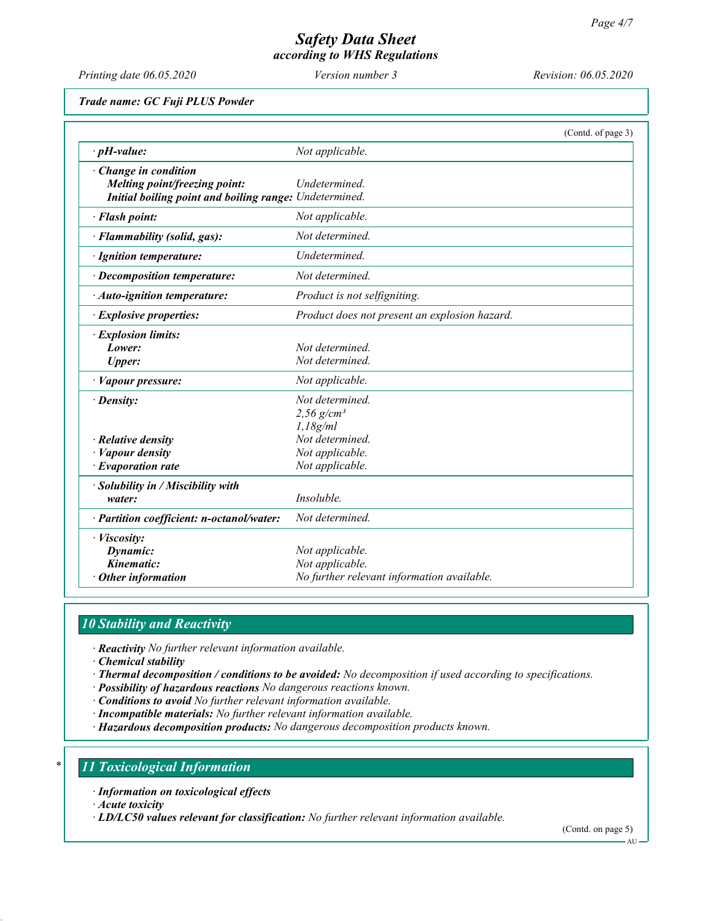Printing date 06.05.2020 Version number 3 Revision: 06.05.2020

Trade name: GC Fuji PLUS Powder

|                                                                                                                |                                                                                  | (Contd. of page 3) |
|----------------------------------------------------------------------------------------------------------------|----------------------------------------------------------------------------------|--------------------|
| $\cdot$ pH-value:                                                                                              | Not applicable.                                                                  |                    |
| Change in condition<br>Melting point/freezing point:<br>Initial boiling point and boiling range: Undetermined. | Undetermined.                                                                    |                    |
| · Flash point:                                                                                                 | Not applicable.                                                                  |                    |
| · Flammability (solid, gas):                                                                                   | Not determined.                                                                  |                    |
| · Ignition temperature:                                                                                        | Undetermined.                                                                    |                    |
| · Decomposition temperature:                                                                                   | Not determined.                                                                  |                    |
| · Auto-ignition temperature:                                                                                   | Product is not selfigniting.                                                     |                    |
| · Explosive properties:                                                                                        | Product does not present an explosion hazard.                                    |                    |
| · Explosion limits:<br>Lower:<br><b>Upper:</b>                                                                 | Not determined.<br>Not determined.                                               |                    |
| · Vapour pressure:                                                                                             | Not applicable.                                                                  |                    |
| $\cdot$ Density:                                                                                               | Not determined.<br>2,56 $g/cm^{3}$<br>1,18g/ml                                   |                    |
| $\cdot$ Relative density<br>· Vapour density<br>$\cdot$ Evaporation rate                                       | Not determined.<br>Not applicable.<br>Not applicable.                            |                    |
| · Solubility in / Miscibility with<br>water:                                                                   | Insoluble.                                                                       |                    |
| · Partition coefficient: n-octanol/water:                                                                      | Not determined.                                                                  |                    |
| · Viscosity:<br>Dynamic:<br>Kinematic:<br>$\cdot$ Other information                                            | Not applicable.<br>Not applicable.<br>No further relevant information available. |                    |

## 10 Stability and Reactivity

· Reactivity No further relevant information available.

· Chemical stability

- · Thermal decomposition / conditions to be avoided: No decomposition if used according to specifications.
- · Possibility of hazardous reactions No dangerous reactions known.
- · Conditions to avoid No further relevant information available.
- · Incompatible materials: No further relevant information available.
- · Hazardous decomposition products: No dangerous decomposition products known.

## 11 Toxicological Information

· Information on toxicological effects

· Acute toxicity

· LD/LC50 values relevant for classification: No further relevant information available.

(Contd. on page 5) AU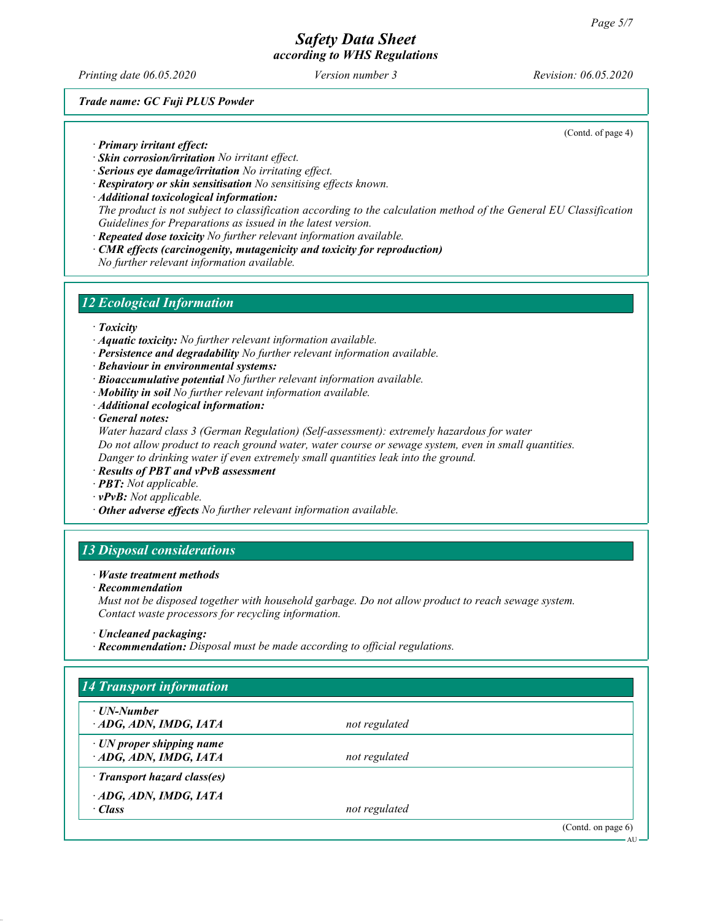Printing date 06.05.2020 Version number 3 Revision: 06.05.2020

(Contd. of page 4)

Trade name: GC Fuji PLUS Powder

· Primary irritant effect:

- · Skin corrosion/irritation No irritant effect.
- · Serious eye damage/irritation No irritating effect.
- · Respiratory or skin sensitisation No sensitising effects known.
- · Additional toxicological information: The product is not subject to classification according to the calculation method of the General EU Classification Guidelines for Preparations as issued in the latest version.
- · Repeated dose toxicity No further relevant information available.
- · CMR effects (carcinogenity, mutagenicity and toxicity for reproduction)

No further relevant information available.

#### 12 Ecological Information

· Toxicity

- · Aquatic toxicity: No further relevant information available.
- · Persistence and degradability No further relevant information available.
- · Behaviour in environmental systems:
- · Bioaccumulative potential No further relevant information available.
- · Mobility in soil No further relevant information available.
- · Additional ecological information:

· General notes:

Water hazard class 3 (German Regulation) (Self-assessment): extremely hazardous for water Do not allow product to reach ground water, water course or sewage system, even in small quantities. Danger to drinking water if even extremely small quantities leak into the ground.

- · Results of PBT and vPvB assessment
- · PBT: Not applicable.
- $\cdot$  **vPvB:** Not applicable.
- · Other adverse effects No further relevant information available.

### 13 Disposal considerations

#### · Waste treatment methods

· Recommendation

Must not be disposed together with household garbage. Do not allow product to reach sewage system. Contact waste processors for recycling information.

· Uncleaned packaging:

· Recommendation: Disposal must be made according to official regulations.

| ⋅ UN-Number                     |               |  |
|---------------------------------|---------------|--|
| ADG, ADN, IMDG, IATA            | not regulated |  |
| $\cdot$ UN proper shipping name |               |  |
| ADG, ADN, IMDG, IATA            | not regulated |  |
| · Transport hazard class(es)    |               |  |
| ADG, ADN, IMDG, IATA            |               |  |
| · Class                         | not regulated |  |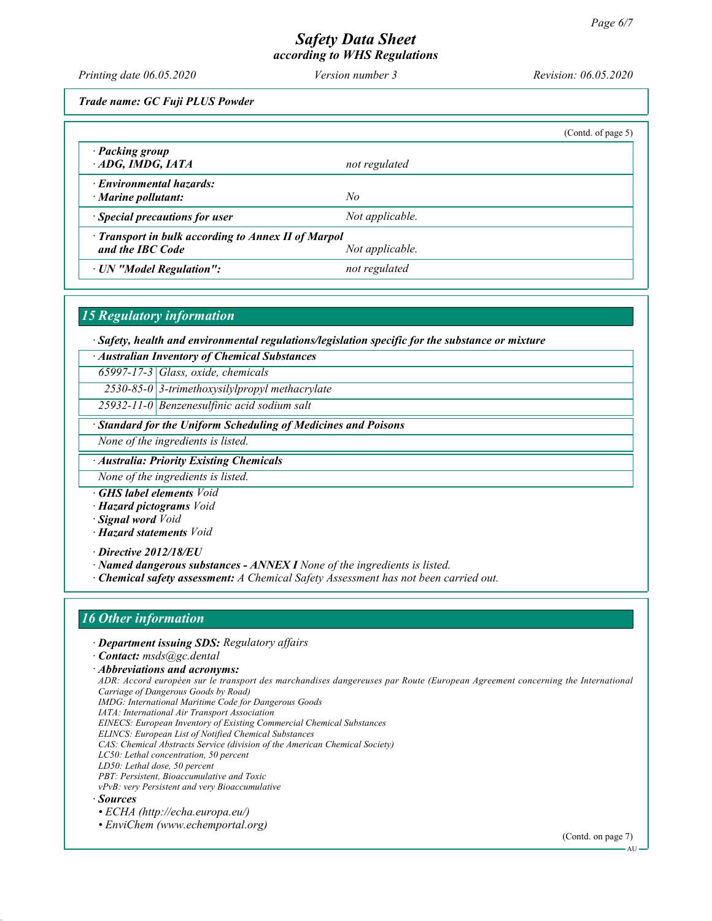Printing date 06.05.2020 Version number 3 Revision: 06.05.2020

Trade name: GC Fuji PLUS Powder

|                                                                                            |                 | (Cond. of page 5) |
|--------------------------------------------------------------------------------------------|-----------------|-------------------|
| · Packing group<br>$\cdot$ ADG, IMDG, IATA                                                 | not regulated   |                   |
| · Environmental hazards:<br>$\cdot$ Marine pollutant:                                      | No              |                   |
| · Special precautions for user                                                             | Not applicable. |                   |
| · Transport in bulk according to Annex II of Marpol<br>and the IBC Code<br>Not applicable. |                 |                   |
| · UN "Model Regulation":                                                                   | not regulated   |                   |

### 15 Regulatory information

· Safety, health and environmental regulations/legislation specific for the substance or mixture

· Australian Inventory of Chemical Substances

65997-17-3 Glass, oxide, chemicals

2530-85-0 3-trimethoxysilylpropyl methacrylate

25932-11-0 Benzenesulfinic acid sodium salt

Standard for the Uniform Scheduling of Medicines and Poisons

None of the ingredients is listed.

· Australia: Priority Existing Chemicals

None of the ingredients is listed.

· GHS label elements Void

· Hazard pictograms Void

· Signal word Void

· Hazard statements Void

· Directive 2012/18/EU

- · Named dangerous substances ANNEX I None of the ingredients is listed.
- · Chemical safety assessment: A Chemical Safety Assessment has not been carried out.

#### 16 Other information

· Department issuing SDS: Regulatory affairs

· Contact: msds@gc.dental

· Abbreviations and acronyms:

ADR: Accord européen sur le transport des marchandises dangereuses par Route (European Agreement concerning the International Carriage of Dangerous Goods by Road)

- IMDG: International Maritime Code for Dangerous Goods
- IATA: International Air Transport Association

EINECS: European Inventory of Existing Commercial Chemical Substances

ELINCS: European List of Notified Chemical Substances

CAS: Chemical Abstracts Service (division of the American Chemical Society)

LC50: Lethal concentration, 50 percent

LD50: Lethal dose, 50 percent

PBT: Persistent, Bioaccumulative and Toxic vPvB: very Persistent and very Bioaccumulative

**Sources** 

• ECHA (http://echa.europa.eu/)

• EnviChem (www.echemportal.org)

(Contd. on page 7)

AU.